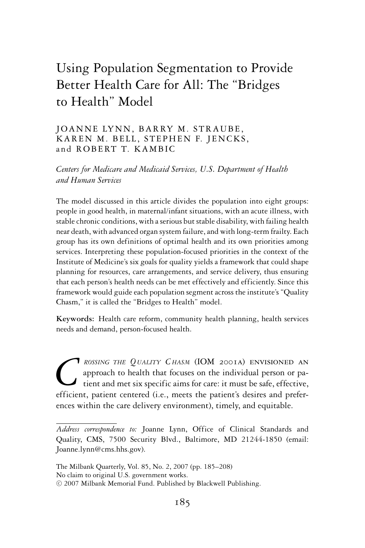# Using Population Segmentation to Provide Better Health Care for All: The "Bridges to Health" Model

JOANNE LYNN, BARRY M. STRAUBE, KAREN M. BELL, STEPHEN F. JENCKS, and ROBERT T. KAMBIC

*Centers for Medicare and Medicaid Services, U.S. Department of Health and Human Services*

The model discussed in this article divides the population into eight groups: people in good health, in maternal/infant situations, with an acute illness, with stable chronic conditions, with a serious but stable disability, with failing health near death, with advanced organ system failure, and with long-term frailty. Each group has its own definitions of optimal health and its own priorities among services. Interpreting these population-focused priorities in the context of the Institute of Medicine's six goals for quality yields a framework that could shape planning for resources, care arrangements, and service delivery, thus ensuring that each person's health needs can be met effectively and efficiently. Since this framework would guide each population segment across the institute's "Quality Chasm," it is called the "Bridges to Health" model.

**Keywords:** Health care reform, community health planning, health services needs and demand, person-focused health.

*ROSSING THE QUALITY CHASM* (IOM 2001A) ENVISIONED AN approach to health that focuses on the individual person or patient and met six specific aims for care: it must be safe, effective, efficient patient centered (i.e., me approach to health that focuses on the individual person or patient and met six specific aims for care: it must be safe, effective, efficient, patient centered (i.e., meets the patient's desires and preferences within the care delivery environment), timely, and equitable.

*Address correspondence to:* Joanne Lynn, Office of Clinical Standards and Quality, CMS, 7500 Security Blvd., Baltimore, MD 21244-1850 (email: Joanne.lynn@cms.hhs.gov).

The Milbank Quarterly, Vol. 85, No. 2, 2007 (pp. 185–208) No claim to original U.S. government works. c 2007 Milbank Memorial Fund. Published by Blackwell Publishing.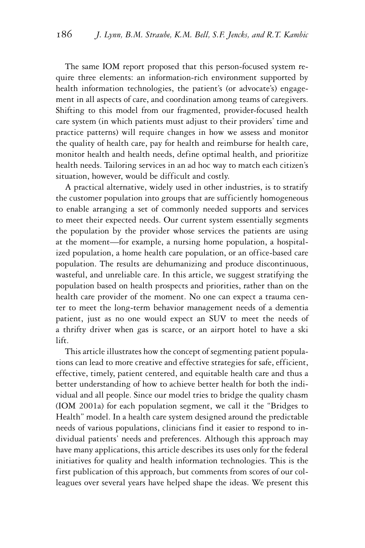The same IOM report proposed that this person-focused system require three elements: an information-rich environment supported by health information technologies, the patient's (or advocate's) engagement in all aspects of care, and coordination among teams of caregivers. Shifting to this model from our fragmented, provider-focused health care system (in which patients must adjust to their providers' time and practice patterns) will require changes in how we assess and monitor the quality of health care, pay for health and reimburse for health care, monitor health and health needs, define optimal health, and prioritize health needs. Tailoring services in an ad hoc way to match each citizen's situation, however, would be difficult and costly.

A practical alternative, widely used in other industries, is to stratify the customer population into groups that are sufficiently homogeneous to enable arranging a set of commonly needed supports and services to meet their expected needs. Our current system essentially segments the population by the provider whose services the patients are using at the moment—for example, a nursing home population, a hospitalized population, a home health care population, or an office-based care population. The results are dehumanizing and produce discontinuous, wasteful, and unreliable care. In this article, we suggest stratifying the population based on health prospects and priorities, rather than on the health care provider of the moment. No one can expect a trauma center to meet the long-term behavior management needs of a dementia patient, just as no one would expect an SUV to meet the needs of a thrifty driver when gas is scarce, or an airport hotel to have a ski lift.

This article illustrates how the concept of segmenting patient populations can lead to more creative and effective strategies for safe, efficient, effective, timely, patient centered, and equitable health care and thus a better understanding of how to achieve better health for both the individual and all people. Since our model tries to bridge the quality chasm (IOM 2001a) for each population segment, we call it the "Bridges to Health" model. In a health care system designed around the predictable needs of various populations, clinicians find it easier to respond to individual patients' needs and preferences. Although this approach may have many applications, this article describes its uses only for the federal initiatives for quality and health information technologies. This is the first publication of this approach, but comments from scores of our colleagues over several years have helped shape the ideas. We present this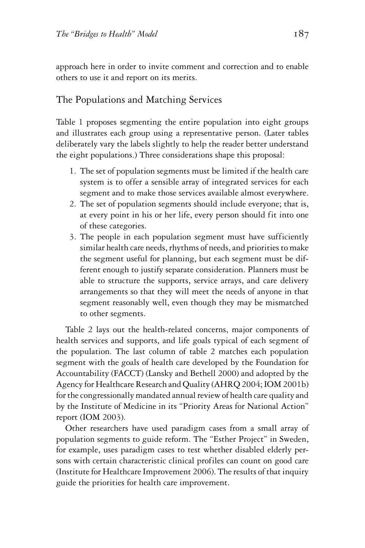approach here in order to invite comment and correction and to enable others to use it and report on its merits.

### The Populations and Matching Services

Table 1 proposes segmenting the entire population into eight groups and illustrates each group using a representative person. (Later tables deliberately vary the labels slightly to help the reader better understand the eight populations.) Three considerations shape this proposal:

- 1. The set of population segments must be limited if the health care system is to offer a sensible array of integrated services for each segment and to make those services available almost everywhere.
- 2. The set of population segments should include everyone; that is, at every point in his or her life, every person should fit into one of these categories.
- 3. The people in each population segment must have sufficiently similar health care needs, rhythms of needs, and priorities to make the segment useful for planning, but each segment must be different enough to justify separate consideration. Planners must be able to structure the supports, service arrays, and care delivery arrangements so that they will meet the needs of anyone in that segment reasonably well, even though they may be mismatched to other segments.

Table 2 lays out the health-related concerns, major components of health services and supports, and life goals typical of each segment of the population. The last column of table 2 matches each population segment with the goals of health care developed by the Foundation for Accountability (FACCT) (Lansky and Bethell 2000) and adopted by the Agency for Healthcare Research and Quality (AHRQ 2004; IOM 2001b) for the congressionally mandated annual review of health care quality and by the Institute of Medicine in its "Priority Areas for National Action" report (IOM 2003).

Other researchers have used paradigm cases from a small array of population segments to guide reform. The "Esther Project" in Sweden, for example, uses paradigm cases to test whether disabled elderly persons with certain characteristic clinical profiles can count on good care (Institute for Healthcare Improvement 2006). The results of that inquiry guide the priorities for health care improvement.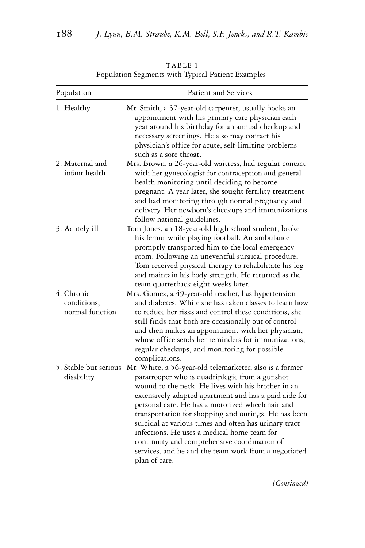| Population                                   | Patient and Services                                                                                                                                                                                                                                                                                                                                                                                                                                                                                                                                                  |
|----------------------------------------------|-----------------------------------------------------------------------------------------------------------------------------------------------------------------------------------------------------------------------------------------------------------------------------------------------------------------------------------------------------------------------------------------------------------------------------------------------------------------------------------------------------------------------------------------------------------------------|
| 1. Healthy                                   | Mr. Smith, a 37-year-old carpenter, usually books an<br>appointment with his primary care physician each<br>year around his birthday for an annual checkup and<br>necessary screenings. He also may contact his<br>physician's office for acute, self-limiting problems<br>such as a sore throat.                                                                                                                                                                                                                                                                     |
| 2. Maternal and<br>infant health             | Mrs. Brown, a 26-year-old waitress, had regular contact<br>with her gynecologist for contraception and general<br>health monitoring until deciding to become<br>pregnant. A year later, she sought fertility treatment<br>and had monitoring through normal pregnancy and<br>delivery. Her newborn's checkups and immunizations<br>follow national guidelines.                                                                                                                                                                                                        |
| 3. Acutely ill                               | Tom Jones, an 18-year-old high school student, broke<br>his femur while playing football. An ambulance<br>promptly transported him to the local emergency<br>room. Following an uneventful surgical procedure,<br>Tom received physical therapy to rehabilitate his leg<br>and maintain his body strength. He returned as the<br>team quarterback eight weeks later.                                                                                                                                                                                                  |
| 4. Chronic<br>conditions,<br>normal function | Mrs. Gomez, a 49-year-old teacher, has hypertension<br>and diabetes. While she has taken classes to learn how<br>to reduce her risks and control these conditions, she<br>still finds that both are occasionally out of control<br>and then makes an appointment with her physician,<br>whose office sends her reminders for immunizations,<br>regular checkups, and monitoring for possible<br>complications.                                                                                                                                                        |
| 5. Stable but serious<br>disability          | Mr. White, a 56-year-old telemarketer, also is a former<br>paratrooper who is quadriplegic from a gunshot<br>wound to the neck. He lives with his brother in an<br>extensively adapted apartment and has a paid aide for<br>personal care. He has a motorized wheelchair and<br>transportation for shopping and outings. He has been<br>suicidal at various times and often has urinary tract<br>infections. He uses a medical home team for<br>continuity and comprehensive coordination of<br>services, and he and the team work from a negotiated<br>plan of care. |

TABLE 1 Population Segments with Typical Patient Examples

*(Continued)*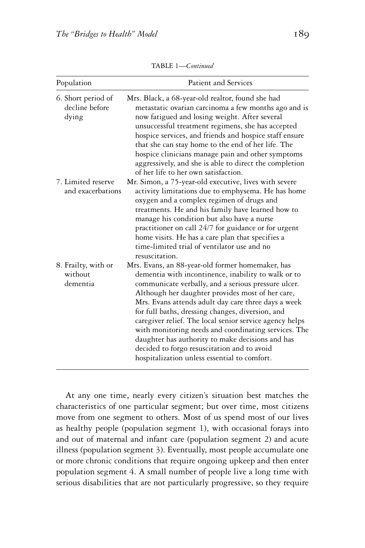| Population                                    | Patient and Services                                                                                                                                                                                                                                                                                                                                                                                                                                                                                                                                                                                |
|-----------------------------------------------|-----------------------------------------------------------------------------------------------------------------------------------------------------------------------------------------------------------------------------------------------------------------------------------------------------------------------------------------------------------------------------------------------------------------------------------------------------------------------------------------------------------------------------------------------------------------------------------------------------|
| 6. Short period of<br>decline before<br>dying | Mrs. Black, a 68-year-old realtor, found she had<br>metastatic ovarian carcinoma a few months ago and is<br>now fatigued and losing weight. After several<br>unsuccessful treatment regimens, she has accepted<br>hospice services, and friends and hospice staff ensure<br>that she can stay home to the end of her life. The<br>hospice clinicians manage pain and other symptoms<br>aggressively, and she is able to direct the completion<br>of her life to her own satisfaction.                                                                                                               |
| 7. Limited reserve<br>and exacerbations       | Mr. Simon, a 75-year-old executive, lives with severe<br>activity limitations due to emphysema. He has home<br>oxygen and a complex regimen of drugs and<br>treatments. He and his family have learned how to<br>manage his condition but also have a nurse<br>practitioner on call 24/7 for guidance or for urgent<br>home visits. He has a care plan that specifies a<br>time-limited trial of ventilator use and no<br>resuscitation.                                                                                                                                                            |
| 8. Frailty, with or<br>without<br>dementia    | Mrs. Evans, an 88-year-old former homemaker, has<br>dementia with incontinence, inability to walk or to<br>communicate verbally, and a serious pressure ulcer.<br>Although her daughter provides most of her care,<br>Mrs. Evans attends adult day care three days a week<br>for full baths, dressing changes, diversion, and<br>caregiver relief. The local senior service agency helps<br>with monitoring needs and coordinating services. The<br>daughter has authority to make decisions and has<br>decided to forgo resuscitation and to avoid<br>hospitalization unless essential to comfort. |

TABLE 1—*Continued*

At any one time, nearly every citizen's situation best matches the characteristics of one particular segment; but over time, most citizens move from one segment to others. Most of us spend most of our lives as healthy people (population segment 1), with occasional forays into and out of maternal and infant care (population segment 2) and acute illness (population segment 3). Eventually, most people accumulate one or more chronic conditions that require ongoing upkeep and then enter population segment 4. A small number of people live a long time with serious disabilities that are not particularly progressive, so they require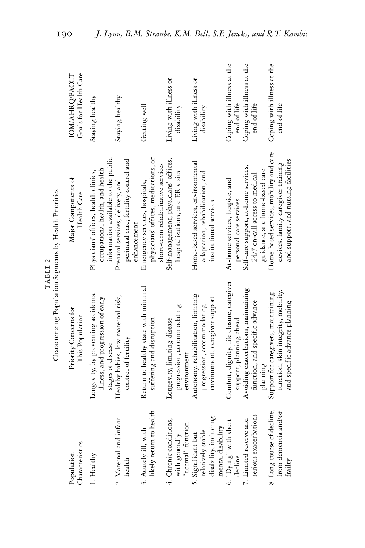|                                                                                          |                                                                                                             | Characterizing r optianum organicum py recantum rinorities                                                          |                                           |
|------------------------------------------------------------------------------------------|-------------------------------------------------------------------------------------------------------------|---------------------------------------------------------------------------------------------------------------------|-------------------------------------------|
| Characteristics<br>Population                                                            | Priority Concerns for<br>This Population                                                                    | Major Components of<br>Health Care                                                                                  | Goals for Health Care<br>IOM/AHRQ/FACCT   |
| 1. Healthy                                                                               | Longevity, by preventing accidents,<br>illness, and progression of early<br>stages of disease               | information available to the public<br>occupational health, and health<br>Physicians' offices, health clinics,      | Staying healthy                           |
| 2. Maternal and infant<br>health                                                         | Healthy babies, low maternal risk,<br>control of fertility                                                  | perinatal care; fertility control and<br>Prenatal services, delivery, and<br>enhancement                            | Staying healthy                           |
| likely return to health<br>3. Acutely ill, with                                          | Return to healthy state with minimal<br>suffering and disruption                                            | physicians' offices, medications, or<br>short-term rehabilitative services<br>Emergency services, hospitals,        | Getting well                              |
| 4. Chronic conditions,<br>"normal" function<br>with generally                            | progression, accommodating<br>Longevity, limiting disease<br>environment                                    | Self-management, physicians' offices,<br>hospitalizations, and ER visits                                            | Living with illness or<br>disability      |
| disability, including<br>mental disability<br>relatively stable<br>Significant but<br>'n | Autonomy, rehabilitation, limiting<br>environment, caregiver support<br>progression, accommodating          | Home-based services, environmental<br>adaptation, rehabilitation, and<br>institutional services                     | Living with illness or<br>disability      |
| 6. "Dying" with short<br>decline                                                         | Comfort, dignity, life closure, caregiver<br>support, planning ahead                                        | At-home services, hospice, and<br>personal care services                                                            | Coping with illness at the<br>end of life |
| serious exacerbations<br>7. Limited reserve and                                          | Avoiding exacerbations, maintaining<br>function, and specific advance<br>planning                           | Self-care support, at-home services,<br>guidance, and home-based care<br>24/7 on-call access to medical             | Coping with illness at the<br>end of life |
| 8. Long course of decline,<br>from dementia and/or<br>frailty                            | function, skin integrity, mobility,<br>Support for caregivers, maintaining<br>and specific advance planning | Home-based services, mobility and care<br>and support, and nursing facilities<br>devices, family caregiver training | Coping with illness at the<br>end of life |

TABLE 2<br>Characterizing Population Segments by Health Priorities Characterizing Population Segments by Health Priorities TABLE 2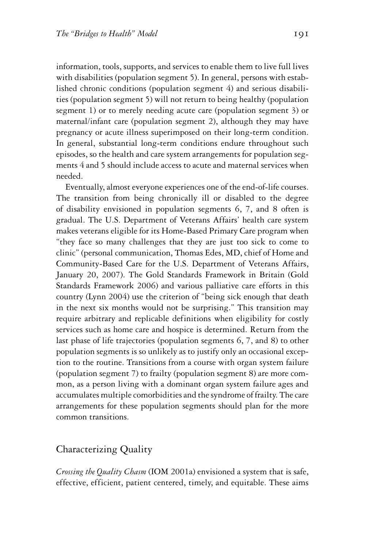information, tools, supports, and services to enable them to live full lives with disabilities (population segment 5). In general, persons with established chronic conditions (population segment 4) and serious disabilities (population segment 5) will not return to being healthy (population segment 1) or to merely needing acute care (population segment 3) or maternal/infant care (population segment 2), although they may have pregnancy or acute illness superimposed on their long-term condition. In general, substantial long-term conditions endure throughout such episodes, so the health and care system arrangements for population segments 4 and 5 should include access to acute and maternal services when needed.

Eventually, almost everyone experiences one of the end-of-life courses. The transition from being chronically ill or disabled to the degree of disability envisioned in population segments 6, 7, and 8 often is gradual. The U.S. Department of Veterans Affairs' health care system makes veterans eligible for its Home-Based Primary Care program when "they face so many challenges that they are just too sick to come to clinic" (personal communication, Thomas Edes, MD, chief of Home and Community-Based Care for the U.S. Department of Veterans Affairs, January 20, 2007). The Gold Standards Framework in Britain (Gold Standards Framework 2006) and various palliative care efforts in this country (Lynn 2004) use the criterion of "being sick enough that death in the next six months would not be surprising." This transition may require arbitrary and replicable definitions when eligibility for costly services such as home care and hospice is determined. Return from the last phase of life trajectories (population segments 6, 7, and 8) to other population segments is so unlikely as to justify only an occasional exception to the routine. Transitions from a course with organ system failure (population segment 7) to frailty (population segment 8) are more common, as a person living with a dominant organ system failure ages and accumulates multiple comorbidities and the syndrome of frailty. The care arrangements for these population segments should plan for the more common transitions.

## Characterizing Quality

*Crossing the Quality Chasm* (IOM 2001a) envisioned a system that is safe, effective, efficient, patient centered, timely, and equitable. These aims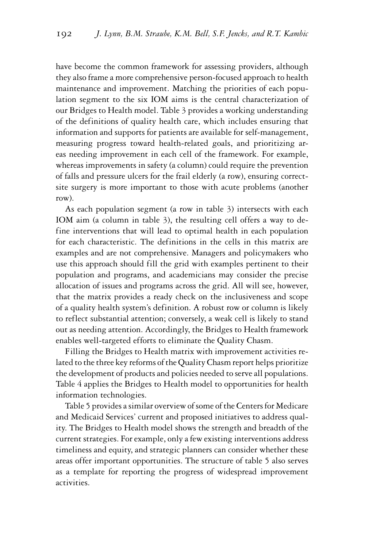have become the common framework for assessing providers, although they also frame a more comprehensive person-focused approach to health maintenance and improvement. Matching the priorities of each population segment to the six IOM aims is the central characterization of our Bridges to Health model. Table 3 provides a working understanding of the definitions of quality health care, which includes ensuring that information and supports for patients are available for self-management, measuring progress toward health-related goals, and prioritizing areas needing improvement in each cell of the framework. For example, whereas improvements in safety (a column) could require the prevention of falls and pressure ulcers for the frail elderly (a row), ensuring correctsite surgery is more important to those with acute problems (another row).

As each population segment (a row in table 3) intersects with each IOM aim (a column in table 3), the resulting cell offers a way to define interventions that will lead to optimal health in each population for each characteristic. The definitions in the cells in this matrix are examples and are not comprehensive. Managers and policymakers who use this approach should fill the grid with examples pertinent to their population and programs, and academicians may consider the precise allocation of issues and programs across the grid. All will see, however, that the matrix provides a ready check on the inclusiveness and scope of a quality health system's definition. A robust row or column is likely to reflect substantial attention; conversely, a weak cell is likely to stand out as needing attention. Accordingly, the Bridges to Health framework enables well-targeted efforts to eliminate the Quality Chasm.

Filling the Bridges to Health matrix with improvement activities related to the three key reforms of the Quality Chasm report helps prioritize the development of products and policies needed to serve all populations. Table 4 applies the Bridges to Health model to opportunities for health information technologies.

Table 5 provides a similar overview of some of the Centers for Medicare and Medicaid Services' current and proposed initiatives to address quality. The Bridges to Health model shows the strength and breadth of the current strategies. For example, only a few existing interventions address timeliness and equity, and strategic planners can consider whether these areas offer important opportunities. The structure of table 5 also serves as a template for reporting the progress of widespread improvement activities.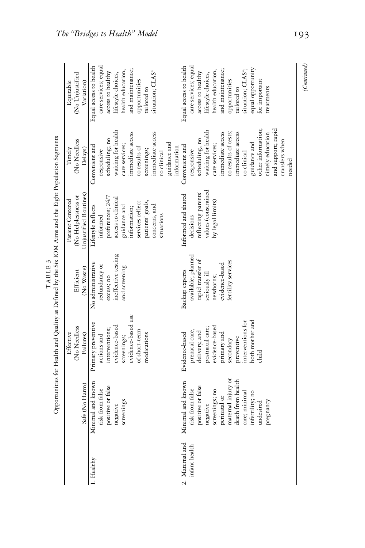|                                                                                                       | (No Unjustified<br>Equitable<br>Variation)                       | Equal access to health<br>care services; equal<br>and maintenance;<br>health education,<br>situation; CLAS <sup>a</sup><br>access to healthy<br>lifestyle choices,<br>opportunities<br>tailored to           | Equal access to health<br>care services; equal<br>equal opportunity<br>and maintenance;<br>situation; CLAS <sup>a</sup> ;<br>health education,<br>access to healthy<br>lifestyle choices,<br>opportunities<br>for important<br>tailored to<br>reatments                           |
|-------------------------------------------------------------------------------------------------------|------------------------------------------------------------------|--------------------------------------------------------------------------------------------------------------------------------------------------------------------------------------------------------------|-----------------------------------------------------------------------------------------------------------------------------------------------------------------------------------------------------------------------------------------------------------------------------------|
|                                                                                                       | (No Needless<br>Delays)<br>Timely                                | waiting for health<br>immediate access<br>immediate access<br>scheduling; no<br>guidance and<br>care services;<br>Convenient and<br>to results of<br>information<br>screenings;<br>responsive<br>to clinical | and support; rapid<br>other information;<br>waiting for health<br>immediate access<br>immediate access<br>to results of tests;<br>timely education<br>transfers when<br>scheduling, no<br>guidance and<br>care services;<br>Convenient and<br>responsive<br>to clinical<br>needed |
| Opportunities for Health and Quality as Defined by the Six IOM Aims and the Eight Population Segments | Unjustified Routines)<br>(No Helplessness or<br>Patient Centered | preferences; 24/7<br>access to clinical<br>services reflect<br>patients' goals,<br>concerns, and<br>guidance and<br>Lifestyle reflects<br>information;<br>situations<br>informed                             | values (constrained<br>reflecting parents'<br>Informed and shared<br>by legal limits)<br>decisions                                                                                                                                                                                |
|                                                                                                       | $(\mathrm{No\;Waste})$<br>Efficient                              | ineffective testing<br>No administrative<br>redundancy or<br>and screening<br>excess; no                                                                                                                     | available; planned<br>rapid transfer of<br>fertility services<br>evidence-based<br>Backup experts<br>seriously ill<br>newborns;                                                                                                                                                   |
|                                                                                                       | (No Needless<br>Effective<br>Failures)                           | evidence-based use<br>Primary preventive<br>evidence-based<br>interventions;<br>of short-term<br>medications<br>actions and<br>screenings;                                                                   | interventions for<br>both mother and<br>evidence-based<br>postnatal care;<br>prenatal care,<br>delivery, and<br>Evidence-based<br>primary and<br>preventive<br>secondary<br>child                                                                                                 |
|                                                                                                       | Safe (No Harm)                                                   | Minimal and known<br>positive or false<br>risk from false<br>screenings<br>negative                                                                                                                          | maternal injury or<br>death from health<br>Minimal and known<br>positive or false<br>risk from false<br>screenings; no<br>care; minimal<br>infertility; no<br>perinatal or<br>pregnancy<br>andesired<br>negative                                                                  |
|                                                                                                       |                                                                  | 1. Healthy                                                                                                                                                                                                   | 2. Maternal and<br>infant health                                                                                                                                                                                                                                                  |

ind the Eight Population Segments  $T \triangle BLE 3$ <br>d by the Six IOM Aims TABLE 3 Defin

The "Bridges to Health" Model 193

 $(Continued) % \begin{minipage}[b]{0.5\linewidth} \centering \centerline{\includegraphics[width=0.5\linewidth]{images/STN1000.pdf} \centerline{\includegraphics[width=0.5\linewidth]{images/STN1000.pdf} \centerline{\includegraphics[width=0.5\linewidth]{images/STN1000.pdf} \centerline{\includegraphics[width=0.5\linewidth]{images/STN1000.pdf} \centerline{\includegraphics[width=0.5\linewidth]{images/STN1000.pdf} \centerline{\includegraphics[width=0.5\linewidth]{images/STN1000.pdf} \centerline{\includegraphics[width=0.5\linewidth]{images/STN1000.pdf} \centerline{\includegraphics[width=0.5\linewidth]{images/STN100$ *(Continued)*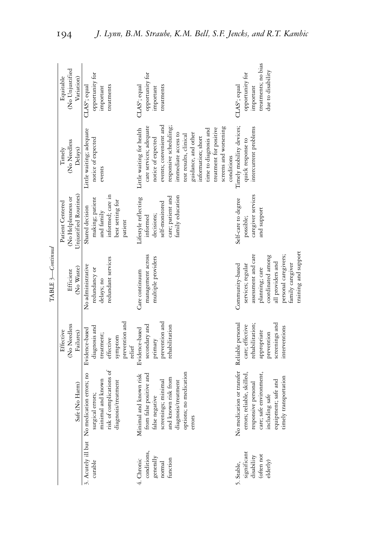|                                                                    |                                                                                                                                                                                               | Effective                                                                                          |                                                                                                                                                                                             | Patient Centered                                                                                          | Timely                                                                                                                                                                                                                                                                                                                 | Equitable                                                                                             |
|--------------------------------------------------------------------|-----------------------------------------------------------------------------------------------------------------------------------------------------------------------------------------------|----------------------------------------------------------------------------------------------------|---------------------------------------------------------------------------------------------------------------------------------------------------------------------------------------------|-----------------------------------------------------------------------------------------------------------|------------------------------------------------------------------------------------------------------------------------------------------------------------------------------------------------------------------------------------------------------------------------------------------------------------------------|-------------------------------------------------------------------------------------------------------|
|                                                                    |                                                                                                                                                                                               | (No Needless                                                                                       | Efficient                                                                                                                                                                                   | (No Helplessness or                                                                                       | (No Needless                                                                                                                                                                                                                                                                                                           | (No Unjustified                                                                                       |
|                                                                    | Safe (No Harm)                                                                                                                                                                                | Failures)                                                                                          | (No Waste)                                                                                                                                                                                  | Unjustified Routines)                                                                                     | Delays)                                                                                                                                                                                                                                                                                                                | Variation)                                                                                            |
| curable                                                            | risk of complications of<br>3. Acutely ill but No medication errors; no<br>minimal and known<br>diagnosis/treatment<br>surgical errors;                                                       | prevention and<br>diagnosis and<br>Evidence-based<br>treatment;<br>symptom<br>effective<br>relief  | redundant services<br>No administrative<br>redundancy or<br>delays; no                                                                                                                      | informed; care in<br>making; patient<br>best setting for<br>Shared decision<br>and family<br>patient      | Little waiting; adequate<br>notice of expected<br>events                                                                                                                                                                                                                                                               | opportunity for<br>treatments<br>CLAS <sup>a</sup> ; equal<br>important                               |
| conditions,<br>$\rm generally$<br>4. Chronic<br>function<br>normal | options; no medication<br>from false positive and<br>Minimal and known risk<br>and known risk from<br>diagnosis/treatment<br>screenings; minimal<br>false negative<br>errors                  | prevention and<br>secondary and<br>rehabilitation<br>Evidence-based<br>primary                     | management across<br>multiple providers<br>Care continuum                                                                                                                                   | Lifestyle reflecting<br>family education<br>care; patient and<br>self-monitored<br>decisions;<br>informed | events; convenient and<br>screens and worsening<br>care services; adequate<br>responsive scheduling;<br>treatment for positive<br>Little waiting for health<br>time to diagnosis and<br>immediate access to<br>guidance, and other<br>test results, clinical<br>information; short<br>notice of expected<br>conditions | opportunity for<br>treatments<br>CLAS <sup>a</sup> ; equal<br>important                               |
| significant<br>disability<br>(often not<br>elderly)<br>5. Stable,  | No medication or transfer Reliable personal<br>care; safe environment,<br>errors; reliable, skilled,<br>timely transportation<br>equipment; safe and<br>responsive personal<br>including safe | screenings and<br>rehabilitation;<br>care; effective<br>interventions<br>appropriate<br>prevention | training and support<br>assessment and care<br>personal caregivers;<br>coordinated among<br>all providers and<br>family caregiver<br>services; regular<br>Community-based<br>planning; care | caregiver services<br>Self-care to degree<br>and support<br>possible;                                     | Timely mobility devices;<br>intercurrent problems<br>quick response to                                                                                                                                                                                                                                                 | treatments; no bias<br>due to disability<br>opportunity for<br>important<br>CLAS <sup>a</sup> ; equal |

TABLE 3—*Continued*

 ${\tt TABLE~3—Continued}$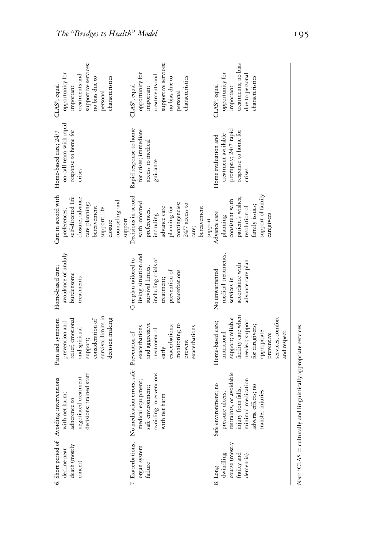|                | 6. Short period of Avoiding interventions                  | Pain and symptom             | Home-based care;      |                               | Care in accord with Home-based care; 24/7 | CLAS <sup>a</sup> ; equal              |
|----------------|------------------------------------------------------------|------------------------------|-----------------------|-------------------------------|-------------------------------------------|----------------------------------------|
| decline near   | with net harm;                                             | prevention and               | avoidance of unduly   | preferences;                  | on-call team with rapid                   | opportunity for                        |
| death (mostly  | adherence to                                               | relief; emotional            | burdensome            | self-directed life            | response to home for                      | important                              |
| cancer)        | negotiated treatment                                       | and spiritual                | treatments            | closure; advance              | crises                                    | treatments and                         |
|                | decisions; trained staff                                   | consideration of<br>support; |                       | care planning;<br>bereavement |                                           | supportive services;<br>no bias due to |
|                |                                                            | survival limits in           |                       | support; life                 |                                           | personal                               |
|                |                                                            | decision making              |                       | closure                       |                                           | characteristics                        |
|                |                                                            |                              |                       | counseling and                |                                           |                                        |
|                |                                                            |                              |                       | support                       |                                           |                                        |
|                | 7. Exacerbations, No medication errors; safe Prevention of |                              | Care plan tailored to | Decisions in accord           | Rapid response to home                    | CLAS <sup>a</sup> ; equal              |
| organ system   | medical equipment;                                         | exacerbations                | living situation and  | with informed                 | for crises; immediate                     | opportunity for                        |
| failure        | safe environment;                                          | and aggressive               | survival limits,      | preferences,                  | access to medical                         | important                              |
|                | avoiding interventions                                     | treatment of                 | including trials of   | including                     | guidance                                  | treatments and                         |
|                | with net harm                                              | early                        | treatment;            | advance care                  |                                           | supportive services;                   |
|                |                                                            | exacerbations;               | prevention of         | planning for                  |                                           | no bias due to                         |
|                |                                                            | monitoring to                | exacerbations         | contingencies;                |                                           | personal                               |
|                |                                                            | prevent                      |                       | $24/7$ access to              |                                           | characteristics                        |
|                |                                                            | exacerbations                |                       | care;                         |                                           |                                        |
|                |                                                            |                              |                       | bereavement                   |                                           |                                        |
|                |                                                            |                              |                       | support                       |                                           |                                        |
| 8. Long        | Safe environment; no                                       | Home-based care;             | No unwarranted        | Advance care                  | Home evaluation and                       | CLAS <sup>ª</sup> ; equal              |
| dwindling      | pressure ulcers,                                           | nutritional                  | medical treatments;   | planning                      | treatment available                       | opportunity for                        |
| course (mostly | restraints, or avoidable                                   | support; reliable            | services in           | consistent with               | promptly; 24/7 rapid                      | important                              |
| frailty and    | injury from falls;                                         | facility care when           | accordance with       | patient's wishes;             | response to home for                      | treatments; no bias                    |
| dementia)      | minimal medication                                         | needed; support              | advance care plan     | resolution of                 | crises                                    | due to personal                        |
|                | adverse effects; no                                        | for caregivers;              |                       | family issues;                |                                           | characteristics                        |
|                | transfer injuries                                          | appropriate                  |                       | support of family             |                                           |                                        |
|                |                                                            | preventive                   |                       | caregivers                    |                                           |                                        |
|                |                                                            | services; comfort            |                       |                               |                                           |                                        |
|                |                                                            | and respect                  |                       |                               |                                           |                                        |
|                |                                                            |                              |                       |                               |                                           |                                        |

*Note:* aCLAS  $N_{\theta \ell \ell^*}$  <br> <br> ªCLAS  $=$  culturally and linguistically appropriate services. culturally and linguistically appropriate services.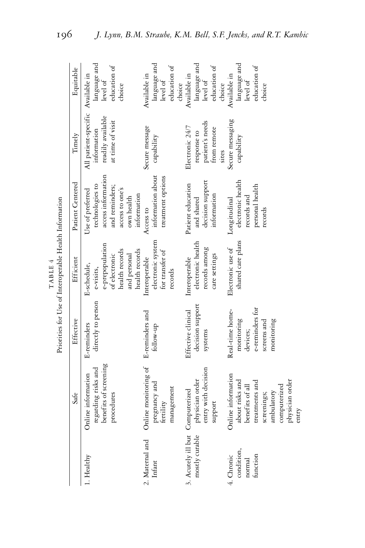|                                                   |                                                                                                                                                     |                                                                                           | Priorities for Use of Interoperable Health Information<br>TABLE 4                                                |                                                                                                                             |                                                                                           |                                                                    |
|---------------------------------------------------|-----------------------------------------------------------------------------------------------------------------------------------------------------|-------------------------------------------------------------------------------------------|------------------------------------------------------------------------------------------------------------------|-----------------------------------------------------------------------------------------------------------------------------|-------------------------------------------------------------------------------------------|--------------------------------------------------------------------|
|                                                   | Safe                                                                                                                                                | Effective                                                                                 | Efficient                                                                                                        | Patient Centered                                                                                                            | Timely                                                                                    | Equitable                                                          |
| 1. Healthy                                        | benefits of screening<br>regarding risks and<br>Online information<br>procedures                                                                    | directly to person<br>E-reminders                                                         | e-prepopulation<br>health records<br>health records<br>and personal<br>of electronic<br>E-schedule,<br>e-visits, | access information<br>technologies to<br>and reminders;<br>access to one's<br>Use of preferred<br>information<br>own health | All patient-specific Available in<br>readily available<br>at time of visit<br>information | language and<br>level of<br>education of<br>choice                 |
| 2. Maternal and<br>Infant                         | Online monitoring of<br>pregnancy and<br>management<br>fertility                                                                                    | E-reminders and<br>follow-up                                                              | electronic system<br>for transfer of<br>Interoperable<br>records                                                 | information about<br>treatment options<br>Access to                                                                         | Secure message<br>capability                                                              | language and<br>level of<br>education of<br>Available in<br>choice |
| 3. Acutely ill but Computerized<br>mostly curable | entry with decision<br>physician order<br>support                                                                                                   | decision support<br>Effective clinical<br>systems                                         | electronic health<br>records among<br>care settings<br>Interoperable                                             | decision support<br>Patient education<br>information<br>and shared                                                          | patient's needs<br>from remote<br>Electronic 24/7<br>response to<br>sites                 | language and<br>education of<br>Available in<br>level of<br>choice |
| condition,<br>function<br>4. Chronic<br>normal    | Online information<br>physician order<br>about risks and<br>treatments and<br>benefits of all<br>computerized<br>ambulatory<br>screenings;<br>entry | e-reminders for<br>Real-time home-<br>monitoring<br>monitoring<br>screens and<br>devices; | shared care plans<br>Electronic use of                                                                           | electronic health<br>personal health<br>records and<br>Longitudinal<br>records                                              | Secure messaging<br>capability                                                            | language and<br>education of<br>Available in<br>level of<br>choice |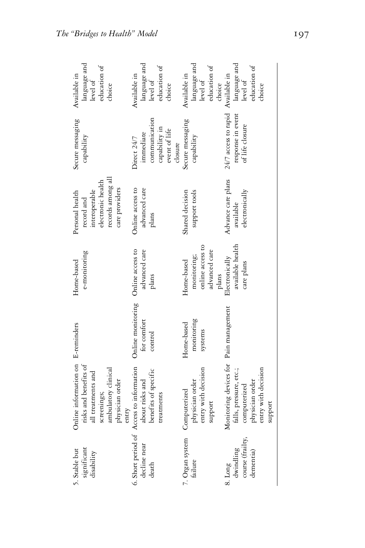| 5. Stable but    | Online information on E-reminders        |                   | Home-based       | Personal health    | Secure messaging                  | Available in             |
|------------------|------------------------------------------|-------------------|------------------|--------------------|-----------------------------------|--------------------------|
| significant      | risks and benefits of                    |                   | e-monitoring     | record and         | capability                        | language and             |
| disability       | all treatments and                       |                   |                  | interoperable      |                                   | level of                 |
|                  | screenings;                              |                   |                  | electronic health  |                                   | education of             |
|                  | ambulatory clinical                      |                   |                  | records among all  |                                   | choice                   |
|                  | physician order<br>entry                 |                   |                  | care providers     |                                   |                          |
|                  | 6. Short period of Access to information | Online monitoring | Online access to | Online access to   | Direct 24/7                       | Available in             |
| decline near     | about risks and                          | for comfort       | advanced care    | advanced care      | immediate                         | language and             |
| death            | benefits of specific                     | control           | plans            | plans              | communication                     | level of                 |
|                  | treatments                               |                   |                  |                    | capability in                     | education of             |
|                  |                                          |                   |                  |                    | event of life                     | choice                   |
|                  |                                          |                   |                  |                    | closure                           |                          |
| 7. Organ system  | Computerized                             | Home-based        | Home-based       | Shared decision    | Secure messaging                  | Available in             |
| failure          | physician order                          | monitoring        | monitoring;      | support tools      | capability                        | language and             |
|                  | entry with decision                      | systems           | online access to |                    |                                   | level of                 |
|                  | support                                  |                   | advanced care    |                    |                                   | education of             |
|                  |                                          |                   | plans            |                    |                                   | choice                   |
| 8. Long          | Monitoring devices for Pain management   |                   | Electronically   | Advance care plans | 24/7 access to rapid Available in |                          |
| $\rm{dwinding}$  | falls, pressure, etc.;                   |                   | available health | available          | response in event                 | language and<br>level of |
| course (frailty, | computerized                             |                   | care plans       | electronically     | of life closure                   |                          |
| dementia)        | physician order                          |                   |                  |                    |                                   | education of             |
|                  | entry with decision                      |                   |                  |                    |                                   | choice                   |
|                  | support                                  |                   |                  |                    |                                   |                          |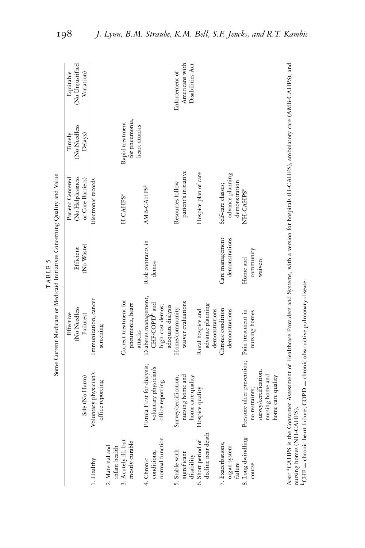|                         |                                              | Effective                                         |                   | Patient Centered                  | Timely                          | Equitable        |
|-------------------------|----------------------------------------------|---------------------------------------------------|-------------------|-----------------------------------|---------------------------------|------------------|
|                         |                                              | (No Needless                                      | Efficient         | (No Helplessness                  | (No Needless                    | (No Unjustified  |
|                         | Safe (No Harm)                               | Failures)                                         | (No Waste)        | or Care Barriers)                 | Delays)                         | Variation)       |
| 1. Healthy              | Voluntary physician's                        | Immunization, cancer                              |                   | Electronic records                |                                 |                  |
|                         | office reporting                             | screening                                         |                   |                                   |                                 |                  |
| 2. Maternal and         |                                              |                                                   |                   |                                   |                                 |                  |
| infant health           |                                              |                                                   |                   |                                   |                                 |                  |
| 3. Acutely ill, but     |                                              | Correct treatment for                             |                   | H-CAHPS <sup>a</sup>              | Rapid treatment                 |                  |
| mostly curable          |                                              | pneumonia, heart<br>attacks                       |                   |                                   | for pneumonia,<br>heart attacks |                  |
| 4. Chronic              |                                              |                                                   | Risk contracts in | AMB-CAHPS <sup>a</sup>            |                                 |                  |
|                         | Fistula First for dialysis;                  | Diabetes management,<br>CHF/COPD <sup>b</sup> and |                   |                                   |                                 |                  |
| conditions,             | voluntary physician's                        |                                                   | demos             |                                   |                                 |                  |
| normal function         | office reporting                             | adequate dialysis<br>high-cost demos;             |                   |                                   |                                 |                  |
| 5. Stable with          | Survey/certification,                        | Home/community                                    |                   | Resources follow                  |                                 | Enforcement of   |
| significant             | nursing home and                             | waiver evaluations                                |                   | patient's initiative              |                                 | Americans with   |
| disability              | home care quality                            |                                                   |                   |                                   |                                 | Disabilities Act |
| 6. Short period of      | Hospice quality                              | Rural hospice and                                 |                   | Hospice plan of care              |                                 |                  |
| decline near death      |                                              | advance planning<br>demonstrations                |                   |                                   |                                 |                  |
| 7. Exacerbations,       |                                              | Chronic condition                                 |                   | Self-care classes;                |                                 |                  |
|                         |                                              |                                                   | Care management   |                                   |                                 |                  |
| organ system<br>failure |                                              | demonstrations                                    | demonstrations    | advance planning<br>demonstration |                                 |                  |
| 8. Long dwindling       | Pressure ulcer prevention; Pain treatment in |                                                   | Home and          | NH-CAHPS <sup>a</sup>             |                                 |                  |
| course                  | no restraints;                               | nursing homes                                     | community         |                                   |                                 |                  |
|                         | survey/certification,                        |                                                   | waivers           |                                   |                                 |                  |
|                         | nursing home and                             |                                                   |                   |                                   |                                 |                  |
|                         | home care quality                            |                                                   |                   |                                   |                                 |                  |

TABLE 5 TABLE 5 nursing homes (NH-CAHPS). bCHF chronic heart failure; COPD chronic obstructive pulmonary disease.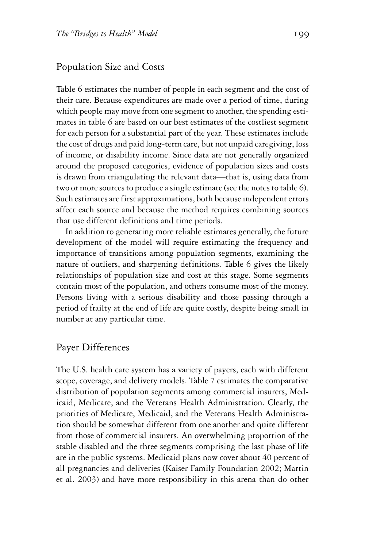## Population Size and Costs

Table 6 estimates the number of people in each segment and the cost of their care. Because expenditures are made over a period of time, during which people may move from one segment to another, the spending estimates in table 6 are based on our best estimates of the costliest segment for each person for a substantial part of the year. These estimates include the cost of drugs and paid long-term care, but not unpaid caregiving, loss of income, or disability income. Since data are not generally organized around the proposed categories, evidence of population sizes and costs is drawn from triangulating the relevant data—that is, using data from two or more sources to produce a single estimate (see the notes to table 6). Such estimates are first approximations, both because independent errors affect each source and because the method requires combining sources that use different definitions and time periods.

In addition to generating more reliable estimates generally, the future development of the model will require estimating the frequency and importance of transitions among population segments, examining the nature of outliers, and sharpening definitions. Table 6 gives the likely relationships of population size and cost at this stage. Some segments contain most of the population, and others consume most of the money. Persons living with a serious disability and those passing through a period of frailty at the end of life are quite costly, despite being small in number at any particular time.

### Payer Differences

The U.S. health care system has a variety of payers, each with different scope, coverage, and delivery models. Table 7 estimates the comparative distribution of population segments among commercial insurers, Medicaid, Medicare, and the Veterans Health Administration. Clearly, the priorities of Medicare, Medicaid, and the Veterans Health Administration should be somewhat different from one another and quite different from those of commercial insurers. An overwhelming proportion of the stable disabled and the three segments comprising the last phase of life are in the public systems. Medicaid plans now cover about 40 percent of all pregnancies and deliveries (Kaiser Family Foundation 2002; Martin et al. 2003) and have more responsibility in this arena than do other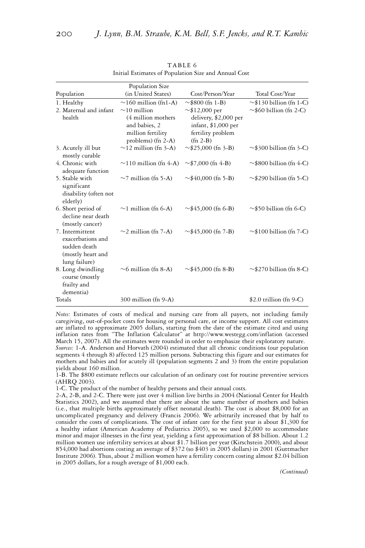|                                                                                            | Population Size                                                                   |                                                                                 |                               |
|--------------------------------------------------------------------------------------------|-----------------------------------------------------------------------------------|---------------------------------------------------------------------------------|-------------------------------|
| Population                                                                                 | (in United States)                                                                | Cost/Person/Year                                                                | Total Cost/Year               |
| 1. Healthy                                                                                 | $\sim$ 160 million (fn1-A)                                                        | $\sim$ \$800 (fn 1-B)                                                           | $\sim$ \$130 billion (fn 1-C) |
| 2. Maternal and infant                                                                     | $\sim$ 10 million                                                                 | $\sim$ \$12,000 per                                                             | $\sim$ \$60 billion (fn 2-C)  |
| health                                                                                     | (4 million mothers<br>and babies, 2<br>million fertility<br>problems) (fn $2-A$ ) | delivery, \$2,000 per<br>infant, \$1,000 per<br>fertility problem<br>$(fn 2-B)$ |                               |
| 3. Acutely ill but<br>mostly curable                                                       | $\sim$ 12 million (fn 3-A)                                                        | $\sim$ \$25,000 (fn 3-B)                                                        | $\sim$ \$300 billion (fn 3-C) |
| 4. Chronic with<br>adequate function                                                       | $\sim$ 110 million (fn 4-A)                                                       | $\sim$ \$7,000 (fn 4-B)                                                         | $\sim$ \$800 billion (fn 4-C) |
| 5. Stable with<br>significant<br>disability (often not<br>elderly)                         | $\sim$ 7 million (fn 5-A)                                                         | $\sim$ \$40,000 (fn 5-B)                                                        | $\sim$ \$290 billion (fn 5-C) |
| 6. Short period of<br>decline near death<br>(mostly cancer)                                | $\sim$ 1 million (fn 6-A)                                                         | $\sim$ \$45,000 (fn 6-B)                                                        | $\sim$ \$50 billion (fn 6-C)  |
| 7. Intermittent<br>exacerbations and<br>sudden death<br>(mostly heart and<br>lung failure) | $\sim$ 2 million (fn 7-A)                                                         | $\sim$ \$45,000 (fn 7-B)                                                        | $\sim$ \$100 billion (fn 7-C) |
| 8. Long dwindling<br>course (mostly<br>frailty and<br>dementia)                            | $\sim$ 6 million (fn 8-A)                                                         | $\sim$ \$45,000 (fn 8-B)                                                        | $\sim$ \$270 billion (fn 8-C) |
| Totals                                                                                     | $300$ million (fn $9-A$ )                                                         |                                                                                 | $$2.0$ trillion (fn 9-C)      |

TABLE 6 Initial Estimates of Population Size and Annual Cost

*Notes:* Estimates of costs of medical and nursing care from all payers, not including family caregiving, out-of-pocket costs for housing or personal care, or income support. All cost estimates are inflated to approximate 2005 dollars, starting from the date of the estimate cited and using inflation rates from "The Inflation Calculator" at http://www.westegg.com/inflation (accessed March 15, 2007). All the estimates were rounded in order to emphasize their exploratory nature. *Sources:* 1-A. Anderson and Horvath (2004) estimated that all chronic conditions (our population segments 4 through 8) affected 125 million persons. Subtracting this figure and our estimates for

mothers and babies and for acutely ill (population segments 2 and 3) from the entire population yields about 160 million.

1-B. The \$800 estimate reflects our calculation of an ordinary cost for routine preventive services (AHRQ 2003).

1-C. The product of the number of healthy persons and their annual costs.

2-A, 2-B, and 2-C. There were just over 4 million live births in 2004 (National Center for Health Statistics 2002), and we assumed that there are about the same number of mothers and babies (i.e., that multiple births approximately offset neonatal death). The cost is about \$8,000 for an uncomplicated pregnancy and delivery (Francis 2006). We arbitrarily increased that by half to consider the costs of complications. The cost of infant care for the first year is about \$1,300 for a healthy infant (American Academy of Pediatrics 2005), so we used \$2,000 to accommodate minor and major illnesses in the first year, yielding a first approximation of \$8 billion. About 1.2 million women use infertility services at about \$1.7 billion per year (Kirschstein 2000), and about 854,000 had abortions costing an average of \$372 (so \$403 in 2005 dollars) in 2001 (Guttmacher Institute 2006). Thus, about 2 million women have a fertility concern costing almost \$2.04 billion in 2005 dollars, for a rough average of \$1,000 each.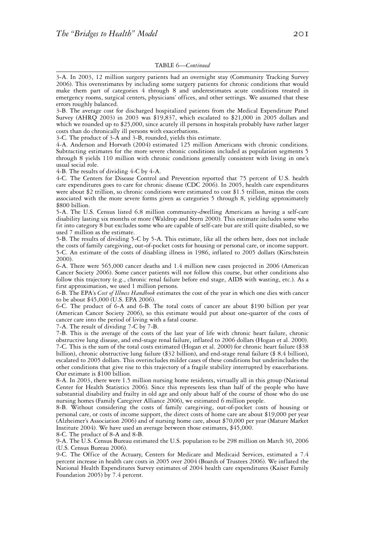#### TABLE 6—*Continued*

3-B. The average cost for discharged hospitalized patients from the Medical Expenditure Panel Survey (AHRQ 2003) in 2003 was \$19,837, which escalated to \$21,000 in 2005 dollars and which we rounded up to \$25,000, since acutely ill persons in hospitals probably have rather larger costs than do chronically ill persons with exacerbations.

 $3$ -C. The product of  $3-\overrightarrow{A}$  and  $3-\overrightarrow{B}$ , rounded, yields this estimate.

4-A. Anderson and Horvath (2004) estimated 125 million Americans with chronic conditions. Subtracting estimates for the more severe chronic conditions included as population segments 5 through 8 yields 110 million with chronic conditions generally consistent with living in one's usual social role.

4-B. The results of dividing 4-C by 4-A.

4-C. The Centers for Disease Control and Prevention reported that 75 percent of U.S. health care expenditures goes to care for chronic disease (CDC 2006). In 2005, health care expenditures were about \$2 trillion, so chronic conditions were estimated to cost \$1.5 trillion, minus the costs associated with the more severe forms given as categories 5 through 8, yielding approximately \$800 billion.

5-A. The U.S. Census listed 6.8 million community-dwelling Americans as having a self-care disability lasting six months or more (Waldrop and Stern 2000). This estimate includes some who fit into category 8 but excludes some who are capable of self-care but are still quite disabled, so we used 7 million as the estimate.

5-B. The results of dividing 5-C by 5-A. This estimate, like all the others here, does not include the costs of family caregiving, out-of-pocket costs for housing or personal care, or income support. 5-C. An estimate of the costs of disabling illness in 1986, inflated to 2005 dollars (Kirschstein 2000).

6-A. There were 565,000 cancer deaths and 1.4 million new cases projected in 2006 (American Cancer Society 2006). Some cancer patients will not follow this course, but other conditions also follow this trajectory (e.g., chronic renal failure before end stage, AIDS with wasting, etc.). As a first approximation, we used 1 million persons.

6-B. The EPA's *Cost of Illness Handbook* estimates the cost of the year in which one dies with cancer to be about \$45,000 (U.S. EPA 2006).

6-C. The product of 6-A and 6-B. The total costs of cancer are about \$190 billion per year (American Cancer Society 2006), so this estimate would put about one-quarter of the costs of cancer care into the period of living with a fatal course.

7-A. The result of dividing 7-C by 7-B.

7-B. This is the average of the costs of the last year of life with chronic heart failure, chronic obstructive lung disease, and end-stage renal failure, inflated to 2006 dollars (Hogan et al. 2000). 7-C. This is the sum of the total costs estimated (Hogan et al. 2000) for chronic heart failure (\$38 billion), chronic obstructive lung failure (\$32 billion), and end-stage renal failure (\$ 8.4 billion), escalated to 2005 dollars. This overincludes milder cases of these conditions but underincludes the other conditions that give rise to this trajectory of a fragile stability interrupted by exacerbations. Our estimate is \$100 billion.

8-A. In 2003, there were 1.5 million nursing home residents, virtually all in this group (National Center for Health Statistics 2006). Since this represents less than half of the people who have substantial disability and frailty in old age and only about half of the course of those who do use nursing homes (Family Caregiver Alliance 2006), we estimated 6 million people.

8-B. Without considering the costs of family caregiving, out-of-pocket costs of housing or personal care, or costs of income support, the direct costs of home care are about \$19,000 per year (Alzheimer's Association 2006) and of nursing home care, about \$70,000 per year (Mature Market Institute 2004). We have used an average between those estimates, \$45,000.

8-C. The product of 8-A and 8-B.

9-A. The U.S. Census Bureau estimated the U.S. population to be 298 million on March 30, 2006 (U.S. Census Bureau 2006).

9-C. The Office of the Actuary, Centers for Medicare and Medicaid Services, estimated a 7.4 percent increase in health care costs in 2005 over 2004 (Boards of Trustees 2006). We inflated the National Health Expenditures Survey estimates of 2004 health care expenditures (Kaiser Family Foundation 2005) by 7.4 percent.

<sup>3-</sup>A. In 2003, 12 million surgery patients had an overnight stay (Community Tracking Survey 2006). This overestimates by including some surgery patients for chronic conditions that would make them part of categories 4 through 8 and underestimates acute conditions treated in emergency rooms, surgical centers, physicians' offices, and other settings. We assumed that these errors roughly balanced.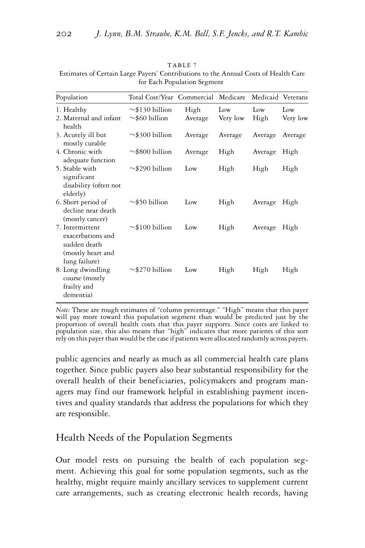| Population                                                                                 | Total Cost/Year Commercial Medicare |         |          | Medicaid Veterans |          |
|--------------------------------------------------------------------------------------------|-------------------------------------|---------|----------|-------------------|----------|
| 1. Healthy                                                                                 | $\sim$ \$130 billion                | High    | Low      | Low               | Low      |
| 2. Maternal and infant<br>health                                                           | $\sim$ \$60 billion                 | Average | Very low | High              | Very low |
| 3. Acutely ill but<br>mostly curable                                                       | $\sim$ \$300 billion                | Average | Average  | Average           | Average  |
| 4. Chronic with<br>adequate function                                                       | $\sim$ \$800 billion                | Average | High     | Average           | High     |
| 5. Stable with<br>significant<br>disability (often not<br>elderly)                         | $\sim$ \$290 billion                | Low     | High     | High              | High     |
| 6. Short period of<br>decline near death<br>(mostly cancer)                                | $\sim$ \$50 billion                 | Low     | High     | Average           | High     |
| 7. Intermittent<br>exacerbations and<br>sudden death<br>(mostly heart and<br>lung failure) | $\sim$ \$100 billion                | Low     | High     | Average           | High     |
| 8. Long dwindling<br>course (mostly<br>frailty and<br>dementia)                            | $\sim$ \$270 billion                | Low     | High     | High              | High     |

TABLE 7 Estimates of Certain Large Payers' Contributions to the Annual Costs of Health Care for Each Population Segment

*Note:* These are rough estimates of "column percentage." "High" means that this payer will pay more toward this population segment than would be predicted just by the proportion of overall health costs that this payer supports. Since costs are linked to population size, this also means that "high" indicates that more patients of this sort rely on this payer than would be the case if patients were allocated randomly across payers.

public agencies and nearly as much as all commercial health care plans together. Since public payers also bear substantial responsibility for the overall health of their beneficiaries, policymakers and program managers may find our framework helpful in establishing payment incentives and quality standards that address the populations for which they are responsible.

# Health Needs of the Population Segments

Our model rests on pursuing the health of each population segment. Achieving this goal for some population segments, such as the healthy, might require mainly ancillary services to supplement current care arrangements, such as creating electronic health records, having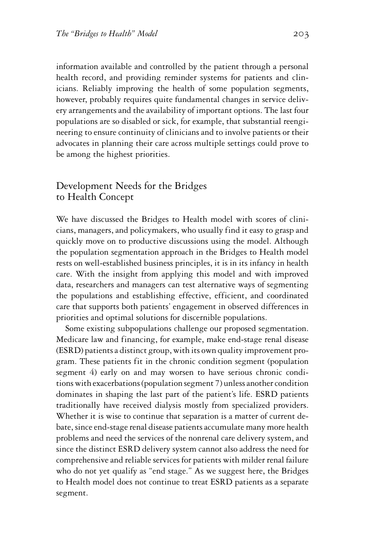information available and controlled by the patient through a personal health record, and providing reminder systems for patients and clinicians. Reliably improving the health of some population segments, however, probably requires quite fundamental changes in service delivery arrangements and the availability of important options. The last four populations are so disabled or sick, for example, that substantial reengineering to ensure continuity of clinicians and to involve patients or their advocates in planning their care across multiple settings could prove to be among the highest priorities.

## Development Needs for the Bridges to Health Concept

We have discussed the Bridges to Health model with scores of clinicians, managers, and policymakers, who usually find it easy to grasp and quickly move on to productive discussions using the model. Although the population segmentation approach in the Bridges to Health model rests on well-established business principles, it is in its infancy in health care. With the insight from applying this model and with improved data, researchers and managers can test alternative ways of segmenting the populations and establishing effective, efficient, and coordinated care that supports both patients' engagement in observed differences in priorities and optimal solutions for discernible populations.

Some existing subpopulations challenge our proposed segmentation. Medicare law and financing, for example, make end-stage renal disease (ESRD) patients a distinct group, with its own quality improvement program. These patients fit in the chronic condition segment (population segment 4) early on and may worsen to have serious chronic conditions with exacerbations (population segment 7) unless another condition dominates in shaping the last part of the patient's life. ESRD patients traditionally have received dialysis mostly from specialized providers. Whether it is wise to continue that separation is a matter of current debate, since end-stage renal disease patients accumulate many more health problems and need the services of the nonrenal care delivery system, and since the distinct ESRD delivery system cannot also address the need for comprehensive and reliable services for patients with milder renal failure who do not yet qualify as "end stage." As we suggest here, the Bridges to Health model does not continue to treat ESRD patients as a separate segment.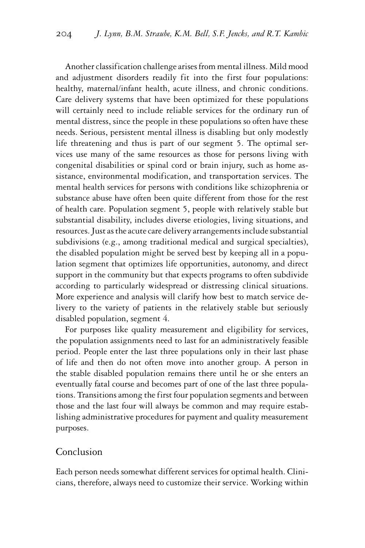Another classification challenge arises from mental illness. Mild mood and adjustment disorders readily fit into the first four populations: healthy, maternal/infant health, acute illness, and chronic conditions. Care delivery systems that have been optimized for these populations will certainly need to include reliable services for the ordinary run of mental distress, since the people in these populations so often have these needs. Serious, persistent mental illness is disabling but only modestly life threatening and thus is part of our segment 5. The optimal services use many of the same resources as those for persons living with congenital disabilities or spinal cord or brain injury, such as home assistance, environmental modification, and transportation services. The mental health services for persons with conditions like schizophrenia or substance abuse have often been quite different from those for the rest of health care. Population segment 5, people with relatively stable but substantial disability, includes diverse etiologies, living situations, and resources. Just as the acute care delivery arrangements include substantial subdivisions (e.g., among traditional medical and surgical specialties), the disabled population might be served best by keeping all in a population segment that optimizes life opportunities, autonomy, and direct support in the community but that expects programs to often subdivide according to particularly widespread or distressing clinical situations. More experience and analysis will clarify how best to match service delivery to the variety of patients in the relatively stable but seriously disabled population, segment 4.

For purposes like quality measurement and eligibility for services, the population assignments need to last for an administratively feasible period. People enter the last three populations only in their last phase of life and then do not often move into another group. A person in the stable disabled population remains there until he or she enters an eventually fatal course and becomes part of one of the last three populations. Transitions among the first four population segments and between those and the last four will always be common and may require establishing administrative procedures for payment and quality measurement purposes.

### Conclusion

Each person needs somewhat different services for optimal health. Clinicians, therefore, always need to customize their service. Working within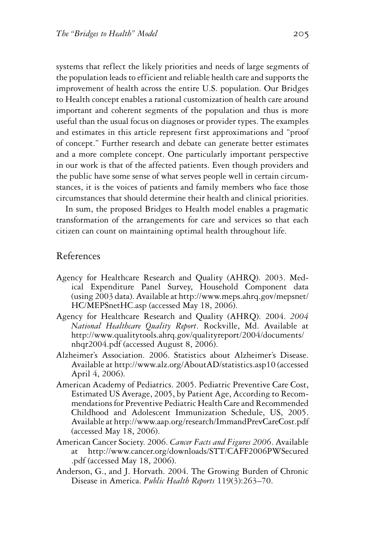systems that reflect the likely priorities and needs of large segments of the population leads to efficient and reliable health care and supports the improvement of health across the entire U.S. population. Our Bridges to Health concept enables a rational customization of health care around important and coherent segments of the population and thus is more useful than the usual focus on diagnoses or provider types. The examples and estimates in this article represent first approximations and "proof of concept." Further research and debate can generate better estimates and a more complete concept. One particularly important perspective in our work is that of the affected patients. Even though providers and the public have some sense of what serves people well in certain circumstances, it is the voices of patients and family members who face those circumstances that should determine their health and clinical priorities.

In sum, the proposed Bridges to Health model enables a pragmatic transformation of the arrangements for care and services so that each citizen can count on maintaining optimal health throughout life.

### References

- Agency for Healthcare Research and Quality (AHRQ). 2003. Medical Expenditure Panel Survey, Household Component data (using 2003 data). Available at http://www.meps.ahrq.gov/mepsnet/ HC/MEPSnetHC.asp (accessed May 18, 2006).
- Agency for Healthcare Research and Quality (AHRQ). 2004. *2004 National Healthcare Quality Report*. Rockville, Md. Available at http://www.qualitytools.ahrq.gov/qualityreport/2004/documents/ nhqr2004.pdf (accessed August 8, 2006).
- Alzheimer's Association. 2006. Statistics about Alzheimer's Disease. Available at http://www.alz.org/AboutAD/statistics.asp10 (accessed April 4, 2006).
- American Academy of Pediatrics. 2005. Pediatric Preventive Care Cost, Estimated US Average, 2005, by Patient Age, According to Recommendations for Preventive Pediatric Health Care and Recommended Childhood and Adolescent Immunization Schedule, US, 2005. Available at http://www.aap.org/research/ImmandPrevCareCost.pdf (accessed May 18, 2006).
- American Cancer Society. 2006. *Cancer Facts and Figures 2006*. Available at http://www.cancer.org/downloads/STT/CAFF2006PWSecured .pdf (accessed May 18, 2006).
- Anderson, G., and J. Horvath. 2004. The Growing Burden of Chronic Disease in America. *Public Health Reports* 119(3):263–70.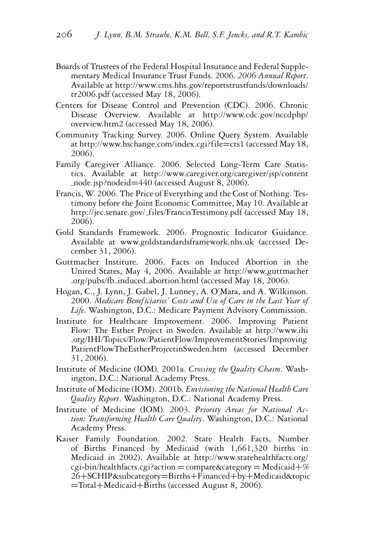- Boards of Trustees of the Federal Hospital Insurance and Federal Supplementary Medical Insurance Trust Funds. 2006. *2006 Annual Report*. Available at http://www.cms.hhs.gov/reportstrustfunds/downloads/ tr2006.pdf (accessed May 18, 2006).
- Centers for Disease Control and Prevention (CDC). 2006. Chronic Disease Overview. Available at http://www.cdc.gov/nccdphp/ overview.htm2 (accessed May 18, 2006).
- Community Tracking Survey. 2006. Online Query System. Available at http://www.hschange.com/index.cgi?file=cts1 (accessed May 18, 2006).
- Family Caregiver Alliance. 2006. Selected Long-Term Care Statistics. Available at http://www.caregiver.org/caregiver/jsp/content node.jsp?nodeid=440 (accessed August 8, 2006).
- Francis, W. 2006. The Price of Everything and the Cost of Nothing. Testimony before the Joint Economic Committee, May 10. Available at http://jec.senate.gov/ files/FrancisTestimony.pdf (accessed May 18, 2006).
- Gold Standards Framework. 2006. Prognostic Indicator Guidance. Available at www.goldstandardsframework.nhs.uk (accessed December 31, 2006).
- Guttmacher Institute. 2006. Facts on Induced Abortion in the United States, May 4, 2006. Available at http://www.guttmacher .org/pubs/fb induced abortion.html (accessed May 18, 2006).
- Hogan, C., J. Lynn, J. Gabel, J. Lunney, A. O'Mara, and A. Wilkinson. 2000. *Medicare Beneficiaries' Costs and Use of Care in the Last Year of Life*. Washington, D.C.: Medicare Payment Advisory Commission.
- Institute for Healthcare Improvement. 2006. Improving Patient Flow: The Esther Project in Sweden. Available at http://www.ihi .org/IHI/Topics/Flow/PatientFlow/ImprovementStories/Improving PatientFlowTheEstherProjectinSweden.htm (accessed December 31, 2006).
- Institute of Medicine (IOM). 2001a. *Crossing the Quality Chasm*. Washington, D.C.: National Academy Press.
- Institute of Medicine (IOM). 2001b. *Envisioning the National Health Care Quality Report*. Washington, D.C.: National Academy Press.
- Institute of Medicine (IOM). 2003. *Priority Areas for National Action: Transforming Health Care Quality*. Washington, D.C.: National Academy Press.
- Kaiser Family Foundation. 2002. State Health Facts, Number of Births Financed by Medicaid (with 1,661,320 births in Medicaid in 2002). Available at http://www.statehealthfacts.org/ cgi-bin/healthfacts.cgi?action = compare&category = Medicaid+% <sup>26</sup>+SCHIP&subcategory=Births+Financed+by+Medicaid&topic =Total+Medicaid+Births (accessed August 8, 2006).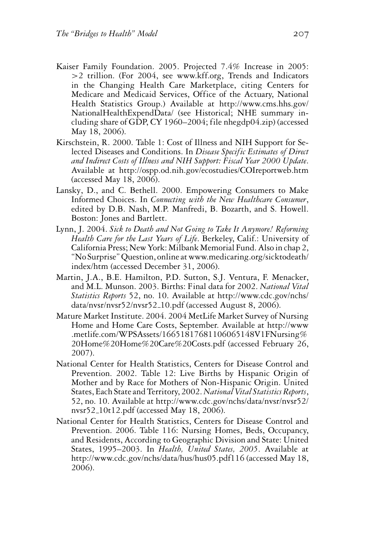- Kaiser Family Foundation. 2005. Projected 7.4% Increase in 2005: >2 trillion. (For 2004, see www.kff.org, Trends and Indicators in the Changing Health Care Marketplace, citing Centers for Medicare and Medicaid Services, Office of the Actuary, National Health Statistics Group.) Available at http://www.cms.hhs.gov/ NationalHealthExpendData/ (see Historical; NHE summary including share of GDP, CY 1960–2004; file nhegdp04.zip) (accessed May 18, 2006).
- Kirschstein, R. 2000. Table 1: Cost of Illness and NIH Support for Selected Diseases and Conditions. In *Disease Specific Estimates of Direct and Indirect Costs of Illness and NIH Support: Fiscal Year 2000 Update*. Available at http://ospp.od.nih.gov/ecostudies/COIreportweb.htm (accessed May 18, 2006).
- Lansky, D., and C. Bethell. 2000. Empowering Consumers to Make Informed Choices. In *Connecting with the New Healthcare Consumer*, edited by D.B. Nash, M.P. Manfredi, B. Bozarth, and S. Howell. Boston: Jones and Bartlett.
- Lynn, J. 2004. *Sick to Death and Not Going to Take It Anymore! Reforming Health Care for the Last Years of Life*. Berkeley, Calif.: University of California Press; New York: Milbank Memorial Fund. Also in chap 2, "No Surprise" Question, online at www.medicaring.org/sicktodeath/ index/htm (accessed December 31, 2006).
- Martin, J.A., B.E. Hamilton, P.D. Sutton, S.J. Ventura, F. Menacker, and M.L. Munson. 2003. Births: Final data for 2002. *National Vital Statistics Reports* 52, no. 10. Available at http://www.cdc.gov/nchs/ data/nvsr/nvsr52/nvsr52 10.pdf (accessed August 8, 2006).
- Mature Market Institute. 2004. 2004 MetLife Market Survey of Nursing Home and Home Care Costs, September. Available at http://www .metlife.com/WPSAssets/16651817681106065148V1FNursing% 20Home%20Home%20Care%20Costs.pdf (accessed February 26, 2007).
- National Center for Health Statistics, Centers for Disease Control and Prevention. 2002. Table 12: Live Births by Hispanic Origin of Mother and by Race for Mothers of Non-Hispanic Origin. United States, Each State and Territory, 2002. *National Vital Statistics Reports*, 52, no. 10. Available at http://www.cdc.gov/nchs/data/nvsr/nvsr52/ nvsr52 10t12.pdf (accessed May 18, 2006).
- National Center for Health Statistics, Centers for Disease Control and Prevention. 2006. Table 116: Nursing Homes, Beds, Occupancy, and Residents, According to Geographic Division and State: United States, 1995–2003. In *Health, United States, 2005*. Available at http://www.cdc.gov/nchs/data/hus/hus05.pdf116 (accessed May 18, 2006).